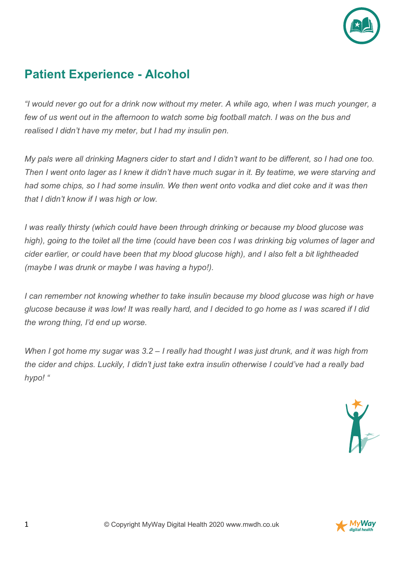

## **Patient Experience - Alcohol**

*"I would never go out for a drink now without my meter. A while ago, when I was much younger, a few of us went out in the afternoon to watch some big football match. I was on the bus and realised I didn't have my meter, but I had my insulin pen.*

*My pals were all drinking Magners cider to start and I didn't want to be different, so I had one too. Then I went onto lager as I knew it didn't have much sugar in it. By teatime, we were starving and had some chips, so I had some insulin. We then went onto vodka and diet coke and it was then that I didn't know if I was high or low.*

*I was really thirsty (which could have been through drinking or because my blood glucose was high), going to the toilet all the time (could have been cos I was drinking big volumes of lager and cider earlier, or could have been that my blood glucose high), and I also felt a bit lightheaded (maybe I was drunk or maybe I was having a hypo!).*

*I can remember not knowing whether to take insulin because my blood glucose was high or have glucose because it was low! It was really hard, and I decided to go home as I was scared if I did the wrong thing, I'd end up worse.*

*When I got home my sugar was 3.2 – I really had thought I was just drunk, and it was high from the cider and chips. Luckily, I didn't just take extra insulin otherwise I could've had a really bad hypo! "*